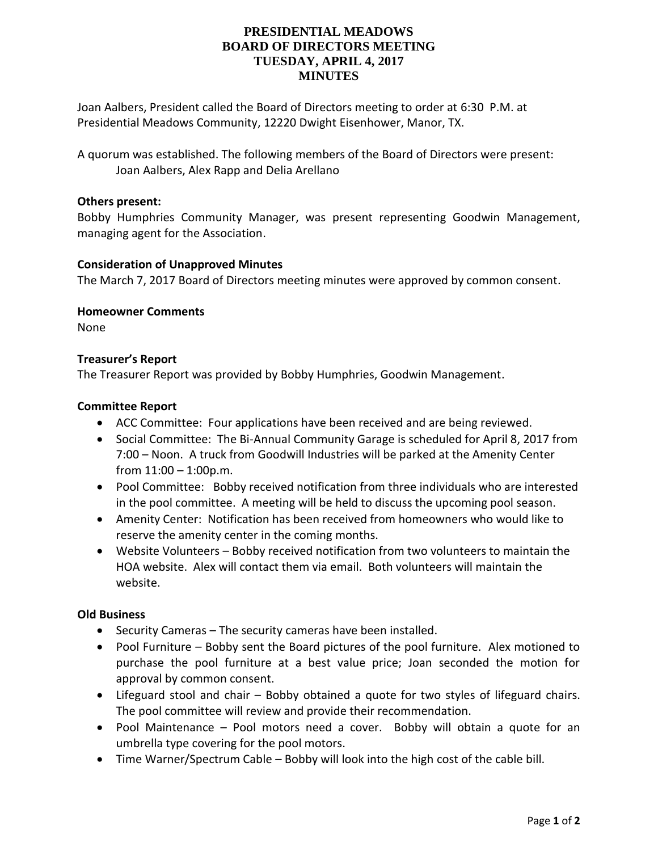# **PRESIDENTIAL MEADOWS BOARD OF DIRECTORS MEETING TUESDAY, APRIL 4, 2017 MINUTES**

Joan Aalbers, President called the Board of Directors meeting to order at 6:30 P.M. at Presidential Meadows Community, 12220 Dwight Eisenhower, Manor, TX.

A quorum was established. The following members of the Board of Directors were present: Joan Aalbers, Alex Rapp and Delia Arellano

## **Others present:**

Bobby Humphries Community Manager, was present representing Goodwin Management, managing agent for the Association.

## **Consideration of Unapproved Minutes**

The March 7, 2017 Board of Directors meeting minutes were approved by common consent.

**Homeowner Comments**

None

## **Treasurer's Report**

The Treasurer Report was provided by Bobby Humphries, Goodwin Management.

#### **Committee Report**

- ACC Committee: Four applications have been received and are being reviewed.
- Social Committee: The Bi-Annual Community Garage is scheduled for April 8, 2017 from 7:00 – Noon. A truck from Goodwill Industries will be parked at the Amenity Center from  $11:00 - 1:00$  p.m.
- Pool Committee: Bobby received notification from three individuals who are interested in the pool committee. A meeting will be held to discuss the upcoming pool season.
- Amenity Center: Notification has been received from homeowners who would like to reserve the amenity center in the coming months.
- Website Volunteers Bobby received notification from two volunteers to maintain the HOA website. Alex will contact them via email. Both volunteers will maintain the website.

## **Old Business**

- Security Cameras The security cameras have been installed.
- Pool Furniture Bobby sent the Board pictures of the pool furniture. Alex motioned to purchase the pool furniture at a best value price; Joan seconded the motion for approval by common consent.
- Lifeguard stool and chair Bobby obtained a quote for two styles of lifeguard chairs. The pool committee will review and provide their recommendation.
- Pool Maintenance Pool motors need a cover. Bobby will obtain a quote for an umbrella type covering for the pool motors.
- Time Warner/Spectrum Cable Bobby will look into the high cost of the cable bill.